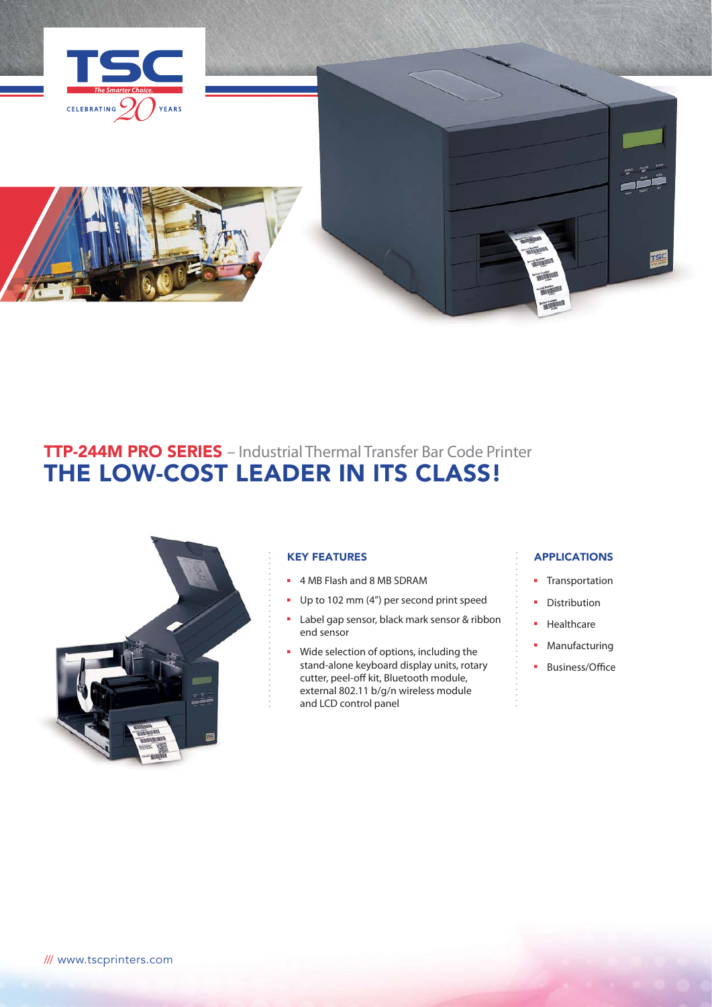

# TTP-244M PRO SERIES – Industrial Thermal Transfer Bar Code Printer THE LOW-COST LEADER IN ITS CLASS!



## KEY FEATURES

- 4 MB Flash and 8 MB SDRAM
- Up to 102 mm (4") per second print speed
- Label gap sensor, black mark sensor & ribbon end sensor
- Wide selection of options, including the stand-alone keyboard display units, rotary cutter, peel-off kit, Bluetooth module, external 802.11 b/g/n wireless module and LCD control panel

### APPLICATIONS

- Transportation
- Distribution
- Healthcare
- Manufacturing
- Business/Office